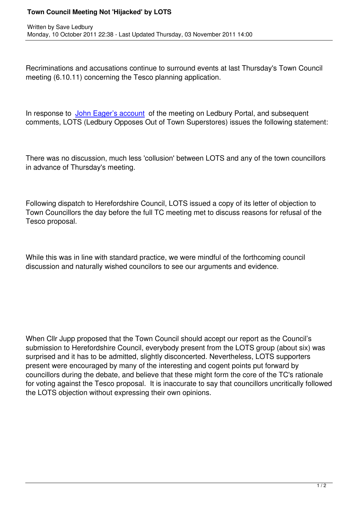Written by Save Ledbury and Save Ledbury and Save Ledbury and Save Ledbury and Save Ledbury and Save Ledbury a

Recriminations and accusations continue to surround events at last Thursday's Town Council meeting (6.10.11) concerning the Tesco planning application.

In response to John Eager's account of the meeting on Ledbury Portal, and subsequent comments, LOTS (Ledbury Opposes Out of Town Superstores) issues the following statement:

There was no discussion, much less 'collusion' between LOTS and any of the town councillors in advance of Thursday's meeting.

Following dispatch to Herefordshire Council, LOTS issued a copy of its letter of objection to Town Councillors the day before the full TC meeting met to discuss reasons for refusal of the Tesco proposal.

While this was in line with standard practice, we were mindful of the forthcoming council discussion and naturally wished councilors to see our arguments and evidence.

When Cllr Jupp proposed that the Town Council should accept our report as the Council's submission to Herefordshire Council, everybody present from the LOTS group (about six) was surprised and it has to be admitted, slightly disconcerted. Nevertheless, LOTS supporters present were encouraged by many of the interesting and cogent points put forward by councillors during the debate, and believe that these might form the core of the TC's rationale for voting against the Tesco proposal. It is inaccurate to say that councillors uncritically followed the LOTS objection without expressing their own opinions.